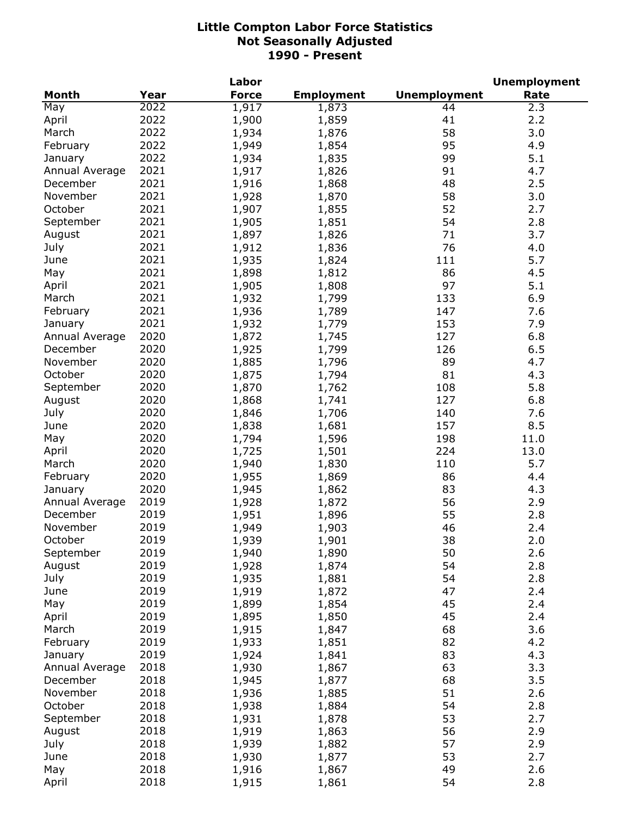|                |      | Labor        |                   |                     | <b>Unemployment</b> |
|----------------|------|--------------|-------------------|---------------------|---------------------|
| <b>Month</b>   | Year | <b>Force</b> | <b>Employment</b> | <b>Unemployment</b> | Rate                |
| May            | 2022 | 1,917        | 1,873             | 44                  | 2.3                 |
| April          | 2022 | 1,900        | 1,859             | 41                  | 2.2                 |
| March          | 2022 | 1,934        | 1,876             | 58                  | 3.0                 |
| February       | 2022 | 1,949        | 1,854             | 95                  | 4.9                 |
| January        | 2022 | 1,934        | 1,835             | 99                  | 5.1                 |
| Annual Average | 2021 | 1,917        | 1,826             | 91                  | 4.7                 |
| December       | 2021 | 1,916        | 1,868             | 48                  | 2.5                 |
| November       | 2021 | 1,928        | 1,870             | 58                  | 3.0                 |
| October        | 2021 | 1,907        | 1,855             | 52                  | 2.7                 |
| September      | 2021 | 1,905        | 1,851             | 54                  | 2.8                 |
| August         | 2021 | 1,897        | 1,826             | 71                  | 3.7                 |
| July           | 2021 | 1,912        | 1,836             | 76                  | 4.0                 |
| June           | 2021 | 1,935        |                   | 111                 | 5.7                 |
|                | 2021 |              | 1,824             | 86                  | 4.5                 |
| May            |      | 1,898        | 1,812             |                     |                     |
| April          | 2021 | 1,905        | 1,808             | 97                  | 5.1                 |
| March          | 2021 | 1,932        | 1,799             | 133                 | 6.9                 |
| February       | 2021 | 1,936        | 1,789             | 147                 | 7.6                 |
| January        | 2021 | 1,932        | 1,779             | 153                 | 7.9                 |
| Annual Average | 2020 | 1,872        | 1,745             | 127                 | 6.8                 |
| December       | 2020 | 1,925        | 1,799             | 126                 | 6.5                 |
| November       | 2020 | 1,885        | 1,796             | 89                  | 4.7                 |
| October        | 2020 | 1,875        | 1,794             | 81                  | 4.3                 |
| September      | 2020 | 1,870        | 1,762             | 108                 | 5.8                 |
| August         | 2020 | 1,868        | 1,741             | 127                 | 6.8                 |
| July           | 2020 | 1,846        | 1,706             | 140                 | 7.6                 |
| June           | 2020 | 1,838        | 1,681             | 157                 | 8.5                 |
| May            | 2020 | 1,794        | 1,596             | 198                 | 11.0                |
| April          | 2020 | 1,725        | 1,501             | 224                 | 13.0                |
| March          | 2020 | 1,940        | 1,830             | 110                 | 5.7                 |
| February       | 2020 | 1,955        | 1,869             | 86                  | 4.4                 |
| January        | 2020 | 1,945        | 1,862             | 83                  | 4.3                 |
| Annual Average | 2019 | 1,928        | 1,872             | 56                  | 2.9                 |
| December       | 2019 | 1,951        | 1,896             | 55                  | 2.8                 |
| November       | 2019 | 1,949        | 1,903             | 46                  | 2.4                 |
| October        | 2019 | 1,939        | 1,901             | 38                  | 2.0                 |
| September      | 2019 | 1,940        | 1,890             | 50                  | 2.6                 |
| August         | 2019 | 1,928        | 1,874             | 54                  | 2.8                 |
| July           | 2019 | 1,935        | 1,881             | 54                  | 2.8                 |
| June           | 2019 | 1,919        | 1,872             | 47                  | 2.4                 |
| May            | 2019 | 1,899        | 1,854             | 45                  | 2.4                 |
| April          | 2019 | 1,895        | 1,850             | 45                  | 2.4                 |
| March          | 2019 | 1,915        | 1,847             | 68                  | 3.6                 |
| February       | 2019 | 1,933        | 1,851             | 82                  | 4.2                 |
| January        | 2019 |              |                   | 83                  | 4.3                 |
|                |      | 1,924        | 1,841             |                     |                     |
| Annual Average | 2018 | 1,930        | 1,867             | 63                  | 3.3                 |
| December       | 2018 | 1,945        | 1,877             | 68                  | 3.5                 |
| November       | 2018 | 1,936        | 1,885             | 51                  | 2.6                 |
| October        | 2018 | 1,938        | 1,884             | 54                  | 2.8                 |
| September      | 2018 | 1,931        | 1,878             | 53                  | 2.7                 |
| August         | 2018 | 1,919        | 1,863             | 56                  | 2.9                 |
| July           | 2018 | 1,939        | 1,882             | 57                  | 2.9                 |
| June           | 2018 | 1,930        | 1,877             | 53                  | 2.7                 |
| May            | 2018 | 1,916        | 1,867             | 49                  | 2.6                 |
| April          | 2018 | 1,915        | 1,861             | 54                  | 2.8                 |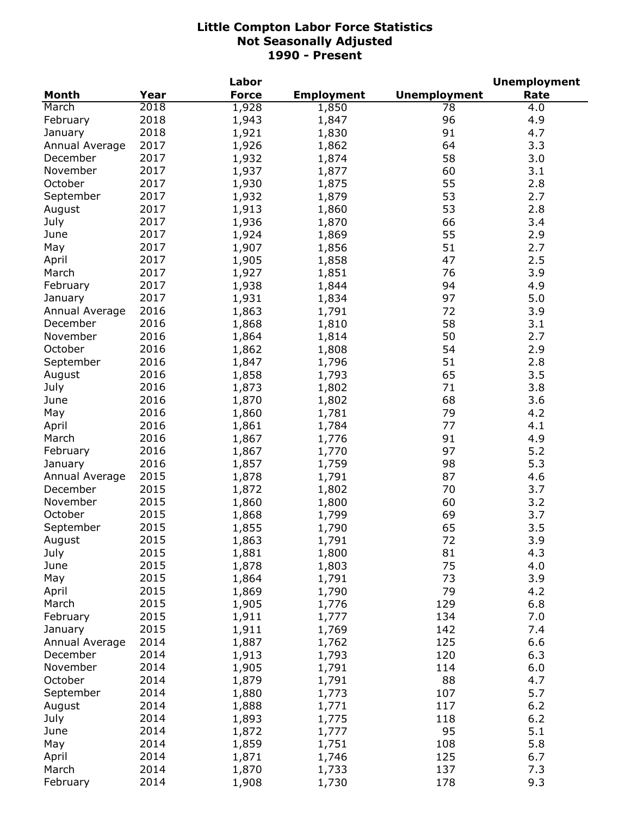|                |      | Labor        |                   |                     | <b>Unemployment</b> |
|----------------|------|--------------|-------------------|---------------------|---------------------|
| <b>Month</b>   | Year | <b>Force</b> | <b>Employment</b> | <b>Unemployment</b> | Rate                |
| March          | 2018 | 1,928        | 1,850             | 78                  | 4.0                 |
| February       | 2018 | 1,943        | 1,847             | 96                  | 4.9                 |
| January        | 2018 | 1,921        | 1,830             | 91                  | 4.7                 |
| Annual Average | 2017 | 1,926        | 1,862             | 64                  | 3.3                 |
| December       | 2017 | 1,932        | 1,874             | 58                  | 3.0                 |
| November       | 2017 | 1,937        | 1,877             | 60                  | 3.1                 |
| October        | 2017 | 1,930        | 1,875             | 55                  | 2.8                 |
| September      | 2017 | 1,932        | 1,879             | 53                  | 2.7                 |
| August         | 2017 | 1,913        | 1,860             | 53                  | 2.8                 |
| July           | 2017 | 1,936        | 1,870             | 66                  | 3.4                 |
| June           | 2017 |              |                   | 55                  | 2.9                 |
|                |      | 1,924        | 1,869             |                     |                     |
| May            | 2017 | 1,907        | 1,856             | 51                  | 2.7                 |
| April          | 2017 | 1,905        | 1,858             | 47                  | 2.5                 |
| March          | 2017 | 1,927        | 1,851             | 76                  | 3.9                 |
| February       | 2017 | 1,938        | 1,844             | 94                  | 4.9                 |
| January        | 2017 | 1,931        | 1,834             | 97                  | 5.0                 |
| Annual Average | 2016 | 1,863        | 1,791             | 72                  | 3.9                 |
| December       | 2016 | 1,868        | 1,810             | 58                  | 3.1                 |
| November       | 2016 | 1,864        | 1,814             | 50                  | 2.7                 |
| October        | 2016 | 1,862        | 1,808             | 54                  | 2.9                 |
| September      | 2016 | 1,847        | 1,796             | 51                  | 2.8                 |
| August         | 2016 | 1,858        | 1,793             | 65                  | 3.5                 |
| July           | 2016 | 1,873        | 1,802             | 71                  | 3.8                 |
| June           | 2016 | 1,870        | 1,802             | 68                  | 3.6                 |
| May            | 2016 | 1,860        | 1,781             | 79                  | 4.2                 |
| April          | 2016 | 1,861        | 1,784             | 77                  | 4.1                 |
| March          | 2016 | 1,867        | 1,776             | 91                  | 4.9                 |
| February       | 2016 | 1,867        | 1,770             | 97                  | 5.2                 |
| January        | 2016 | 1,857        | 1,759             | 98                  | 5.3                 |
| Annual Average | 2015 | 1,878        | 1,791             | 87                  | 4.6                 |
| December       | 2015 | 1,872        | 1,802             | 70                  | 3.7                 |
| November       | 2015 | 1,860        | 1,800             | 60                  | 3.2                 |
| October        | 2015 | 1,868        | 1,799             | 69                  | 3.7                 |
| September      | 2015 | 1,855        | 1,790             | 65                  | 3.5                 |
| August         | 2015 | 1,863        | 1,791             | 72                  | 3.9                 |
| July           | 2015 | 1,881        | 1,800             | 81                  | 4.3                 |
| June           | 2015 | 1,878        | 1,803             | 75                  | 4.0                 |
| May            | 2015 | 1,864        | 1,791             | 73                  | 3.9                 |
| April          | 2015 | 1,869        | 1,790             | 79                  | 4.2                 |
| March          | 2015 | 1,905        | 1,776             | 129                 | 6.8                 |
|                |      |              |                   |                     |                     |
| February       | 2015 | 1,911        | 1,777             | 134                 | 7.0                 |
| January        | 2015 | 1,911        | 1,769             | 142                 | 7.4                 |
| Annual Average | 2014 | 1,887        | 1,762             | 125                 | 6.6                 |
| December       | 2014 | 1,913        | 1,793             | 120                 | 6.3                 |
| November       | 2014 | 1,905        | 1,791             | 114                 | 6.0                 |
| October        | 2014 | 1,879        | 1,791             | 88                  | 4.7                 |
| September      | 2014 | 1,880        | 1,773             | 107                 | 5.7                 |
| August         | 2014 | 1,888        | 1,771             | 117                 | $6.2$               |
| July           | 2014 | 1,893        | 1,775             | 118                 | 6.2                 |
| June           | 2014 | 1,872        | 1,777             | 95                  | 5.1                 |
| May            | 2014 | 1,859        | 1,751             | 108                 | 5.8                 |
| April          | 2014 | 1,871        | 1,746             | 125                 | 6.7                 |
| March          | 2014 | 1,870        | 1,733             | 137                 | 7.3                 |
| February       | 2014 | 1,908        | 1,730             | 178                 | 9.3                 |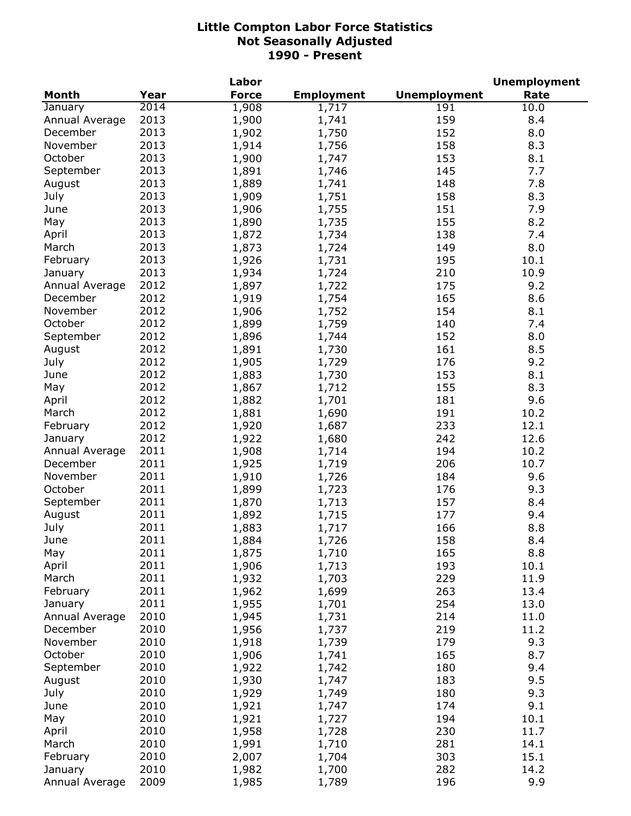|                |      | Labor        |                   |                     | <b>Unemployment</b> |
|----------------|------|--------------|-------------------|---------------------|---------------------|
| <b>Month</b>   | Year | <b>Force</b> | <b>Employment</b> | <b>Unemployment</b> | Rate                |
| January        | 2014 | 1,908        | 1,717             | 191                 | 10.0                |
| Annual Average | 2013 | 1,900        | 1,741             | 159                 | 8.4                 |
| December       | 2013 | 1,902        | 1,750             | 152                 | 8.0                 |
| November       | 2013 | 1,914        | 1,756             | 158                 | 8.3                 |
| October        | 2013 | 1,900        | 1,747             | 153                 | 8.1                 |
| September      | 2013 | 1,891        | 1,746             | 145                 | 7.7                 |
| August         | 2013 | 1,889        | 1,741             | 148                 | 7.8                 |
| July           | 2013 | 1,909        | 1,751             | 158                 | 8.3                 |
| June           | 2013 | 1,906        | 1,755             | 151                 | 7.9                 |
| May            | 2013 | 1,890        | 1,735             | 155                 | 8.2                 |
| April          | 2013 | 1,872        | 1,734             | 138                 | 7.4                 |
| March          | 2013 | 1,873        | 1,724             | 149                 | 8.0                 |
|                | 2013 |              |                   |                     |                     |
| February       |      | 1,926        | 1,731             | 195                 | 10.1                |
| January        | 2013 | 1,934        | 1,724             | 210                 | 10.9                |
| Annual Average | 2012 | 1,897        | 1,722             | 175                 | 9.2                 |
| December       | 2012 | 1,919        | 1,754             | 165                 | 8.6                 |
| November       | 2012 | 1,906        | 1,752             | 154                 | 8.1                 |
| October        | 2012 | 1,899        | 1,759             | 140                 | 7.4                 |
| September      | 2012 | 1,896        | 1,744             | 152                 | 8.0                 |
| August         | 2012 | 1,891        | 1,730             | 161                 | 8.5                 |
| July           | 2012 | 1,905        | 1,729             | 176                 | 9.2                 |
| June           | 2012 | 1,883        | 1,730             | 153                 | 8.1                 |
| May            | 2012 | 1,867        | 1,712             | 155                 | 8.3                 |
| April          | 2012 | 1,882        | 1,701             | 181                 | 9.6                 |
| March          | 2012 | 1,881        | 1,690             | 191                 | 10.2                |
| February       | 2012 | 1,920        | 1,687             | 233                 | 12.1                |
| January        | 2012 | 1,922        | 1,680             | 242                 | 12.6                |
| Annual Average | 2011 | 1,908        | 1,714             | 194                 | 10.2                |
| December       | 2011 | 1,925        | 1,719             | 206                 | 10.7                |
| November       | 2011 | 1,910        | 1,726             | 184                 | 9.6                 |
| October        | 2011 | 1,899        | 1,723             | 176                 | 9.3                 |
| September      | 2011 | 1,870        | 1,713             | 157                 | 8.4                 |
| August         | 2011 | 1,892        | 1,715             | 177                 | 9.4                 |
| July           | 2011 | 1,883        | 1,717             | 166                 | 8.8                 |
| June           | 2011 | 1,884        | 1,726             | 158                 | 8.4                 |
| May            | 2011 | 1,875        | 1,710             | 165                 | 8.8                 |
| April          | 2011 | 1,906        | 1,713             | 193                 | 10.1                |
| March          | 2011 | 1,932        | 1,703             | 229                 | 11.9                |
| February       | 2011 | 1,962        | 1,699             | 263                 | 13.4                |
|                | 2011 | 1,955        |                   | 254                 |                     |
| January        |      |              | 1,701             |                     | 13.0                |
| Annual Average | 2010 | 1,945        | 1,731             | 214                 | 11.0                |
| December       | 2010 | 1,956        | 1,737             | 219                 | 11.2                |
| November       | 2010 | 1,918        | 1,739             | 179                 | 9.3                 |
| October        | 2010 | 1,906        | 1,741             | 165                 | 8.7                 |
| September      | 2010 | 1,922        | 1,742             | 180                 | 9.4                 |
| August         | 2010 | 1,930        | 1,747             | 183                 | 9.5                 |
| July           | 2010 | 1,929        | 1,749             | 180                 | 9.3                 |
| June           | 2010 | 1,921        | 1,747             | 174                 | 9.1                 |
| May            | 2010 | 1,921        | 1,727             | 194                 | 10.1                |
| April          | 2010 | 1,958        | 1,728             | 230                 | 11.7                |
| March          | 2010 | 1,991        | 1,710             | 281                 | 14.1                |
| February       | 2010 | 2,007        | 1,704             | 303                 | 15.1                |
| January        | 2010 | 1,982        | 1,700             | 282                 | 14.2                |
| Annual Average | 2009 | 1,985        | 1,789             | 196                 | 9.9                 |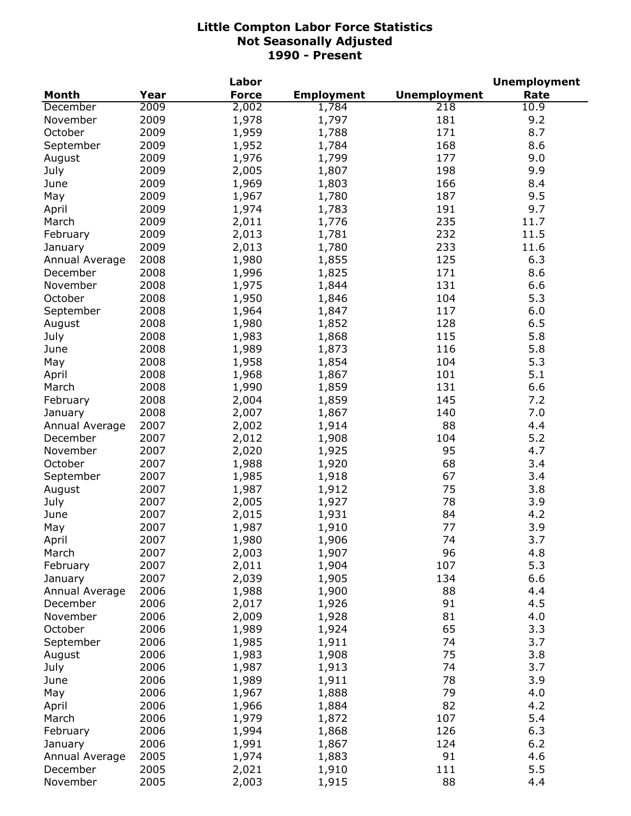|                |      | Labor        |                   |                     | <b>Unemployment</b> |
|----------------|------|--------------|-------------------|---------------------|---------------------|
| <b>Month</b>   | Year | <b>Force</b> | <b>Employment</b> | <b>Unemployment</b> | Rate                |
| December       | 2009 | 2,002        | 1,784             | 218                 | 10.9                |
| November       | 2009 | 1,978        | 1,797             | 181                 | 9.2                 |
| October        | 2009 | 1,959        | 1,788             | 171                 | 8.7                 |
| September      | 2009 | 1,952        | 1,784             | 168                 | 8.6                 |
| August         | 2009 | 1,976        | 1,799             | 177                 | 9.0                 |
| July           | 2009 | 2,005        | 1,807             | 198                 | 9.9                 |
| June           | 2009 | 1,969        | 1,803             | 166                 | 8.4                 |
| May            | 2009 | 1,967        | 1,780             | 187                 | 9.5                 |
| April          | 2009 | 1,974        | 1,783             | 191                 | 9.7                 |
| March          | 2009 | 2,011        | 1,776             | 235                 | 11.7                |
| February       | 2009 | 2,013        | 1,781             | 232                 | 11.5                |
| January        | 2009 | 2,013        | 1,780             | 233                 | 11.6                |
| Annual Average | 2008 | 1,980        | 1,855             | 125                 | 6.3                 |
| December       | 2008 | 1,996        | 1,825             | 171                 | 8.6                 |
| November       | 2008 |              |                   | 131                 | 6.6                 |
|                |      | 1,975        | 1,844             |                     |                     |
| October        | 2008 | 1,950        | 1,846             | 104                 | 5.3                 |
| September      | 2008 | 1,964        | 1,847             | 117                 | 6.0                 |
| August         | 2008 | 1,980        | 1,852             | 128                 | 6.5                 |
| July           | 2008 | 1,983        | 1,868             | 115                 | 5.8                 |
| June           | 2008 | 1,989        | 1,873             | 116                 | 5.8                 |
| May            | 2008 | 1,958        | 1,854             | 104                 | 5.3                 |
| April          | 2008 | 1,968        | 1,867             | 101                 | 5.1                 |
| March          | 2008 | 1,990        | 1,859             | 131                 | 6.6                 |
| February       | 2008 | 2,004        | 1,859             | 145                 | 7.2                 |
| January        | 2008 | 2,007        | 1,867             | 140                 | 7.0                 |
| Annual Average | 2007 | 2,002        | 1,914             | 88                  | 4.4                 |
| December       | 2007 | 2,012        | 1,908             | 104                 | 5.2                 |
| November       | 2007 | 2,020        | 1,925             | 95                  | 4.7                 |
| October        | 2007 | 1,988        | 1,920             | 68                  | 3.4                 |
| September      | 2007 | 1,985        | 1,918             | 67                  | 3.4                 |
| August         | 2007 | 1,987        | 1,912             | 75                  | 3.8                 |
| July           | 2007 | 2,005        | 1,927             | 78                  | 3.9                 |
| June           | 2007 | 2,015        | 1,931             | 84                  | 4.2                 |
| May            | 2007 | 1,987        | 1,910             | 77                  | 3.9                 |
| April          | 2007 | 1,980        | 1,906             | 74                  | 3.7                 |
| March          | 2007 | 2,003        | 1,907             | 96                  | 4.8                 |
| February       | 2007 | 2,011        | 1,904             | 107                 | 5.3                 |
| January        | 2007 | 2,039        | 1,905             | 134                 | 6.6                 |
| Annual Average | 2006 | 1,988        | 1,900             | 88                  | 4.4                 |
| December       | 2006 | 2,017        | 1,926             | 91                  | 4.5                 |
| November       | 2006 | 2,009        | 1,928             | 81                  | 4.0                 |
| October        | 2006 | 1,989        | 1,924             | 65                  | 3.3                 |
|                | 2006 | 1,985        |                   | 74                  | 3.7                 |
| September      |      |              | 1,911<br>1,908    | 75                  |                     |
| August         | 2006 | 1,983        |                   |                     | 3.8                 |
| July           | 2006 | 1,987        | 1,913             | 74                  | 3.7                 |
| June           | 2006 | 1,989        | 1,911             | 78                  | 3.9                 |
| May            | 2006 | 1,967        | 1,888             | 79                  | 4.0                 |
| April          | 2006 | 1,966        | 1,884             | 82                  | 4.2                 |
| March          | 2006 | 1,979        | 1,872             | 107                 | 5.4                 |
| February       | 2006 | 1,994        | 1,868             | 126                 | 6.3                 |
| January        | 2006 | 1,991        | 1,867             | 124                 | 6.2                 |
| Annual Average | 2005 | 1,974        | 1,883             | 91                  | 4.6                 |
| December       | 2005 | 2,021        | 1,910             | 111                 | 5.5                 |
| November       | 2005 | 2,003        | 1,915             | 88                  | 4.4                 |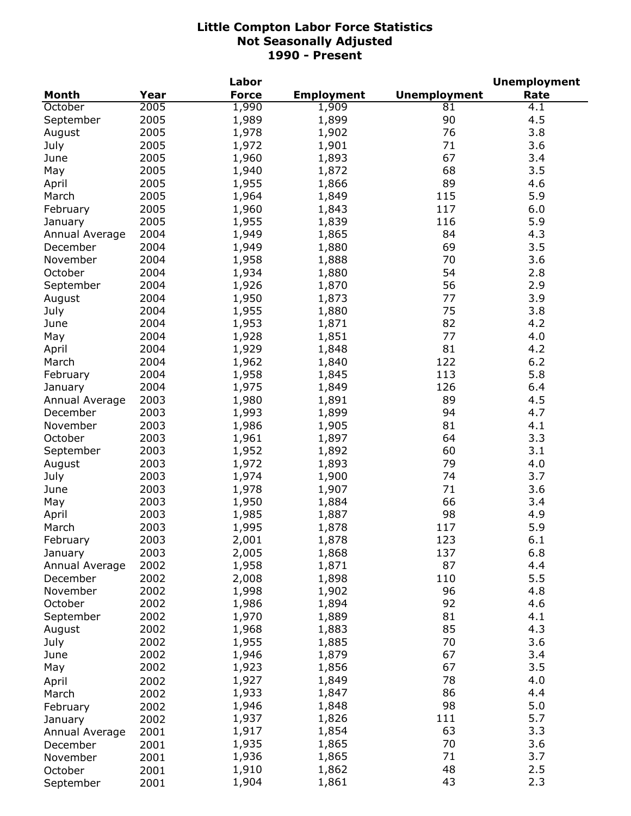|                |      | Labor        |                   |                     | <b>Unemployment</b> |
|----------------|------|--------------|-------------------|---------------------|---------------------|
| <b>Month</b>   | Year | <b>Force</b> | <b>Employment</b> | <b>Unemployment</b> | Rate                |
| October        | 2005 | 1,990        | 1,909             | 81                  | 4.1                 |
| September      | 2005 | 1,989        | 1,899             | 90                  | 4.5                 |
| August         | 2005 | 1,978        | 1,902             | 76                  | 3.8                 |
| July           | 2005 | 1,972        | 1,901             | 71                  | 3.6                 |
| June           | 2005 | 1,960        | 1,893             | 67                  | 3.4                 |
| May            | 2005 | 1,940        | 1,872             | 68                  | 3.5                 |
| April          | 2005 | 1,955        | 1,866             | 89                  | 4.6                 |
| March          | 2005 | 1,964        | 1,849             | 115                 | 5.9                 |
| February       | 2005 | 1,960        | 1,843             | 117                 | 6.0                 |
| January        | 2005 | 1,955        | 1,839             | 116                 | 5.9                 |
| Annual Average | 2004 | 1,949        | 1,865             | 84                  | 4.3                 |
| December       | 2004 | 1,949        | 1,880             | 69                  | 3.5                 |
| November       | 2004 | 1,958        | 1,888             | 70                  | 3.6                 |
| October        | 2004 | 1,934        | 1,880             | 54                  | 2.8                 |
| September      | 2004 | 1,926        | 1,870             | 56                  | 2.9                 |
|                | 2004 |              |                   | 77                  | 3.9                 |
| August         |      | 1,950        | 1,873             | 75                  |                     |
| July           | 2004 | 1,955        | 1,880             |                     | 3.8                 |
| June           | 2004 | 1,953        | 1,871             | 82                  | 4.2                 |
| May            | 2004 | 1,928        | 1,851             | 77                  | 4.0                 |
| April          | 2004 | 1,929        | 1,848             | 81                  | 4.2                 |
| March          | 2004 | 1,962        | 1,840             | 122                 | 6.2                 |
| February       | 2004 | 1,958        | 1,845             | 113                 | 5.8                 |
| January        | 2004 | 1,975        | 1,849             | 126                 | 6.4                 |
| Annual Average | 2003 | 1,980        | 1,891             | 89                  | 4.5                 |
| December       | 2003 | 1,993        | 1,899             | 94                  | 4.7                 |
| November       | 2003 | 1,986        | 1,905             | 81                  | 4.1                 |
| October        | 2003 | 1,961        | 1,897             | 64                  | 3.3                 |
| September      | 2003 | 1,952        | 1,892             | 60                  | 3.1                 |
| August         | 2003 | 1,972        | 1,893             | 79                  | 4.0                 |
| July           | 2003 | 1,974        | 1,900             | 74                  | 3.7                 |
| June           | 2003 | 1,978        | 1,907             | 71                  | 3.6                 |
| May            | 2003 | 1,950        | 1,884             | 66                  | 3.4                 |
| April          | 2003 | 1,985        | 1,887             | 98                  | 4.9                 |
| March          | 2003 | 1,995        | 1,878             | 117                 | 5.9                 |
| February       | 2003 | 2,001        | 1,878             | 123                 | 6.1                 |
| January        | 2003 | 2,005        | 1,868             | 137                 | 6.8                 |
| Annual Average | 2002 | 1,958        | 1,871             | 87                  | 4.4                 |
| December       | 2002 | 2,008        | 1,898             | 110                 | 5.5                 |
| November       | 2002 | 1,998        | 1,902             | 96                  | 4.8                 |
| October        | 2002 | 1,986        | 1,894             | 92                  | 4.6                 |
| September      | 2002 | 1,970        | 1,889             | 81                  | 4.1                 |
| August         | 2002 | 1,968        | 1,883             | 85                  | 4.3                 |
| July           | 2002 | 1,955        | 1,885             | 70                  | 3.6                 |
| June           | 2002 | 1,946        | 1,879             | 67                  | 3.4                 |
|                | 2002 | 1,923        | 1,856             | 67                  | 3.5                 |
| May            |      |              |                   | 78                  | 4.0                 |
| April          | 2002 | 1,927        | 1,849             |                     |                     |
| March          | 2002 | 1,933        | 1,847             | 86                  | 4.4                 |
| February       | 2002 | 1,946        | 1,848             | 98                  | 5.0                 |
| January        | 2002 | 1,937        | 1,826             | 111                 | 5.7                 |
| Annual Average | 2001 | 1,917        | 1,854             | 63                  | 3.3                 |
| December       | 2001 | 1,935        | 1,865             | 70                  | 3.6                 |
| November       | 2001 | 1,936        | 1,865             | 71                  | 3.7                 |
| October        | 2001 | 1,910        | 1,862             | 48                  | 2.5                 |
| September      | 2001 | 1,904        | 1,861             | 43                  | 2.3                 |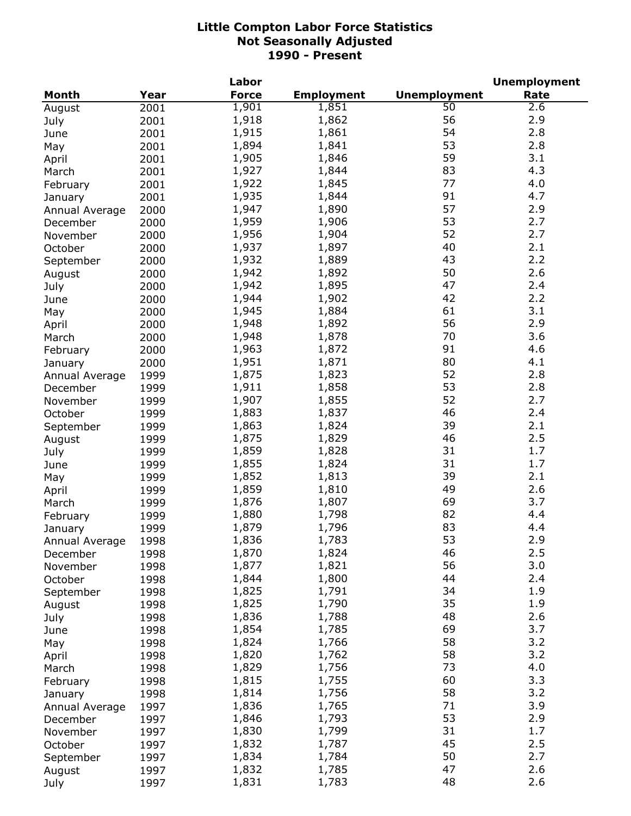|                |      | Labor        |                   |                     | <b>Unemployment</b> |
|----------------|------|--------------|-------------------|---------------------|---------------------|
| Month          | Year | <b>Force</b> | <b>Employment</b> | <b>Unemployment</b> | Rate                |
| August         | 2001 | 1,901        | 1,851             | $\overline{50}$     | 2.6                 |
| July           | 2001 | 1,918        | 1,862             | 56                  | 2.9                 |
| June           | 2001 | 1,915        | 1,861             | 54                  | 2.8                 |
| May            | 2001 | 1,894        | 1,841             | 53                  | 2.8                 |
| April          | 2001 | 1,905        | 1,846             | 59                  | 3.1                 |
| March          | 2001 | 1,927        | 1,844             | 83                  | 4.3                 |
| February       | 2001 | 1,922        | 1,845             | 77                  | 4.0                 |
|                | 2001 | 1,935        | 1,844             | 91                  | 4.7                 |
| January        |      | 1,947        | 1,890             | 57                  | 2.9                 |
| Annual Average | 2000 | 1,959        | 1,906             | 53                  | 2.7                 |
| December       | 2000 |              |                   |                     |                     |
| November       | 2000 | 1,956        | 1,904             | 52                  | 2.7                 |
| October        | 2000 | 1,937        | 1,897             | 40                  | 2.1                 |
| September      | 2000 | 1,932        | 1,889             | 43                  | 2.2                 |
| August         | 2000 | 1,942        | 1,892             | 50                  | 2.6                 |
| July           | 2000 | 1,942        | 1,895             | 47                  | 2.4                 |
| June           | 2000 | 1,944        | 1,902             | 42                  | 2.2                 |
| May            | 2000 | 1,945        | 1,884             | 61                  | 3.1                 |
| April          | 2000 | 1,948        | 1,892             | 56                  | 2.9                 |
| March          | 2000 | 1,948        | 1,878             | 70                  | 3.6                 |
| February       | 2000 | 1,963        | 1,872             | 91                  | 4.6                 |
| January        | 2000 | 1,951        | 1,871             | 80                  | 4.1                 |
| Annual Average | 1999 | 1,875        | 1,823             | 52                  | 2.8                 |
| December       | 1999 | 1,911        | 1,858             | 53                  | 2.8                 |
| November       | 1999 | 1,907        | 1,855             | 52                  | 2.7                 |
| October        | 1999 | 1,883        | 1,837             | 46                  | 2.4                 |
| September      | 1999 | 1,863        | 1,824             | 39                  | 2.1                 |
| August         | 1999 | 1,875        | 1,829             | 46                  | 2.5                 |
| July           | 1999 | 1,859        | 1,828             | 31                  | 1.7                 |
| June           | 1999 | 1,855        | 1,824             | 31                  | 1.7                 |
| May            | 1999 | 1,852        | 1,813             | 39                  | 2.1                 |
|                | 1999 | 1,859        | 1,810             | 49                  | 2.6                 |
| April          |      | 1,876        | 1,807             | 69                  | 3.7                 |
| March          | 1999 |              |                   | 82                  | 4.4                 |
| February       | 1999 | 1,880        | 1,798             |                     |                     |
| January        | 1999 | 1,879        | 1,796             | 83                  | 4.4                 |
| Annual Average | 1998 | 1,836        | 1,783             | 53                  | 2.9                 |
| December       | 1998 | 1,870        | 1,824             | 46                  | 2.5                 |
| November       | 1998 | 1,877        | 1,821             | 56                  | 3.0                 |
| October        | 1998 | 1,844        | 1,800             | 44                  | 2.4                 |
| September      | 1998 | 1,825        | 1,791             | 34                  | 1.9                 |
| August         | 1998 | 1,825        | 1,790             | 35                  | 1.9                 |
| July           | 1998 | 1,836        | 1,788             | 48                  | 2.6                 |
| June           | 1998 | 1,854        | 1,785             | 69                  | 3.7                 |
| May            | 1998 | 1,824        | 1,766             | 58                  | 3.2                 |
| April          | 1998 | 1,820        | 1,762             | 58                  | 3.2                 |
| March          | 1998 | 1,829        | 1,756             | 73                  | 4.0                 |
| February       | 1998 | 1,815        | 1,755             | 60                  | 3.3                 |
| January        | 1998 | 1,814        | 1,756             | 58                  | 3.2                 |
| Annual Average | 1997 | 1,836        | 1,765             | 71                  | 3.9                 |
| December       | 1997 | 1,846        | 1,793             | 53                  | 2.9                 |
| November       | 1997 | 1,830        | 1,799             | 31                  | 1.7                 |
| October        | 1997 | 1,832        | 1,787             | 45                  | 2.5                 |
| September      | 1997 | 1,834        | 1,784             | 50                  | 2.7                 |
| August         | 1997 | 1,832        | 1,785             | 47                  | 2.6                 |
| July           | 1997 | 1,831        | 1,783             | 48                  | 2.6                 |
|                |      |              |                   |                     |                     |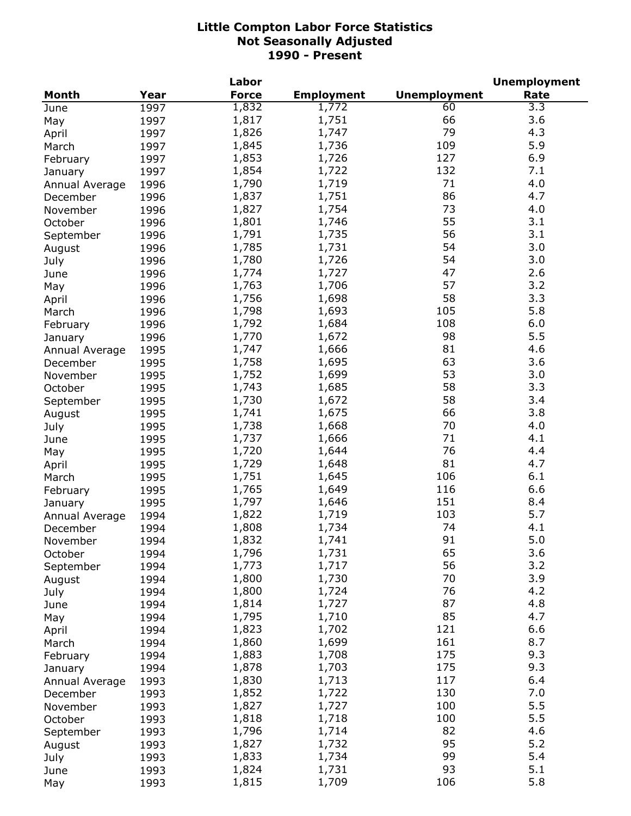|                |      | Labor        |                   | <b>Unemployment</b> |      |  |
|----------------|------|--------------|-------------------|---------------------|------|--|
| <b>Month</b>   | Year | <b>Force</b> | <b>Employment</b> | <b>Unemployment</b> | Rate |  |
| June           | 1997 | 1,832        | 1,772             | 60                  | 3.3  |  |
| May            | 1997 | 1,817        | 1,751             | 66                  | 3.6  |  |
| April          | 1997 | 1,826        | 1,747             | 79                  | 4.3  |  |
| March          | 1997 | 1,845        | 1,736             | 109                 | 5.9  |  |
| February       | 1997 | 1,853        | 1,726             | 127                 | 6.9  |  |
| January        | 1997 | 1,854        | 1,722             | 132                 | 7.1  |  |
| Annual Average | 1996 | 1,790        | 1,719             | 71                  | 4.0  |  |
|                | 1996 | 1,837        | 1,751             | 86                  | 4.7  |  |
| December       |      | 1,827        | 1,754             | 73                  | 4.0  |  |
| November       | 1996 |              |                   | 55                  | 3.1  |  |
| October        | 1996 | 1,801        | 1,746             |                     |      |  |
| September      | 1996 | 1,791        | 1,735             | 56                  | 3.1  |  |
| August         | 1996 | 1,785        | 1,731             | 54                  | 3.0  |  |
| July           | 1996 | 1,780        | 1,726             | 54                  | 3.0  |  |
| June           | 1996 | 1,774        | 1,727             | 47                  | 2.6  |  |
| May            | 1996 | 1,763        | 1,706             | 57                  | 3.2  |  |
| April          | 1996 | 1,756        | 1,698             | 58                  | 3.3  |  |
| March          | 1996 | 1,798        | 1,693             | 105                 | 5.8  |  |
| February       | 1996 | 1,792        | 1,684             | 108                 | 6.0  |  |
| January        | 1996 | 1,770        | 1,672             | 98                  | 5.5  |  |
| Annual Average | 1995 | 1,747        | 1,666             | 81                  | 4.6  |  |
| December       | 1995 | 1,758        | 1,695             | 63                  | 3.6  |  |
| November       | 1995 | 1,752        | 1,699             | 53                  | 3.0  |  |
| October        | 1995 | 1,743        | 1,685             | 58                  | 3.3  |  |
| September      | 1995 | 1,730        | 1,672             | 58                  | 3.4  |  |
| August         | 1995 | 1,741        | 1,675             | 66                  | 3.8  |  |
| July           | 1995 | 1,738        | 1,668             | 70                  | 4.0  |  |
| June           | 1995 | 1,737        | 1,666             | 71                  | 4.1  |  |
|                |      | 1,720        | 1,644             | 76                  | 4.4  |  |
| May            | 1995 | 1,729        | 1,648             | 81                  | 4.7  |  |
| April          | 1995 |              |                   |                     |      |  |
| March          | 1995 | 1,751        | 1,645             | 106                 | 6.1  |  |
| February       | 1995 | 1,765        | 1,649             | 116                 | 6.6  |  |
| January        | 1995 | 1,797        | 1,646             | 151                 | 8.4  |  |
| Annual Average | 1994 | 1,822        | 1,719             | 103                 | 5.7  |  |
| December       | 1994 | 1,808        | 1,734             | 74                  | 4.1  |  |
| November       | 1994 | 1,832        | 1,741             | 91                  | 5.0  |  |
| October        | 1994 | 1,796        | 1,731             | 65                  | 3.6  |  |
| September      | 1994 | 1,773        | 1,717             | 56                  | 3.2  |  |
| August         | 1994 | 1,800        | 1,730             | 70                  | 3.9  |  |
| July           | 1994 | 1,800        | 1,724             | 76                  | 4.2  |  |
| June           | 1994 | 1,814        | 1,727             | 87                  | 4.8  |  |
| May            | 1994 | 1,795        | 1,710             | 85                  | 4.7  |  |
| April          | 1994 | 1,823        | 1,702             | 121                 | 6.6  |  |
| March          | 1994 | 1,860        | 1,699             | 161                 | 8.7  |  |
| February       | 1994 | 1,883        | 1,708             | 175                 | 9.3  |  |
| January        | 1994 | 1,878        | 1,703             | 175                 | 9.3  |  |
| Annual Average | 1993 | 1,830        | 1,713             | 117                 | 6.4  |  |
| December       | 1993 | 1,852        | 1,722             | 130                 | 7.0  |  |
| November       | 1993 | 1,827        | 1,727             | 100                 | 5.5  |  |
|                |      | 1,818        | 1,718             | 100                 | 5.5  |  |
| October        | 1993 |              |                   | 82                  | 4.6  |  |
| September      | 1993 | 1,796        | 1,714             | 95                  | 5.2  |  |
| August         | 1993 | 1,827        | 1,732             |                     |      |  |
| July           | 1993 | 1,833        | 1,734             | 99                  | 5.4  |  |
| June           | 1993 | 1,824        | 1,731             | 93                  | 5.1  |  |
| May            | 1993 | 1,815        | 1,709             | 106                 | 5.8  |  |